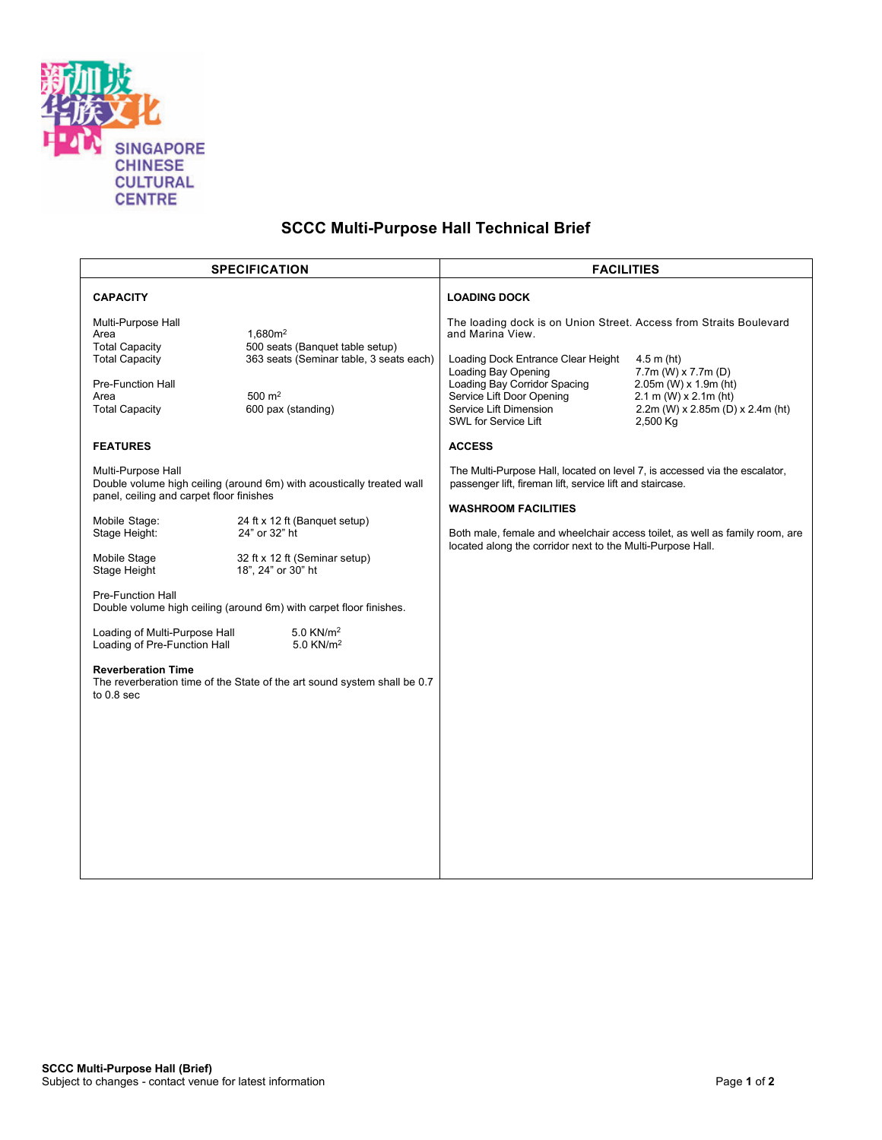

## **SCCC Multi-Purpose Hall Technical Brief**

| <b>CAPACITY</b><br><b>LOADING DOCK</b><br>Multi-Purpose Hall<br>The loading dock is on Union Street. Access from Straits Boulevard<br>1.680m <sup>2</sup><br>and Marina View.<br>Area<br><b>Total Capacity</b><br>500 seats (Banquet table setup)<br>363 seats (Seminar table, 3 seats each)<br><b>Total Capacity</b><br>Loading Dock Entrance Clear Height<br>$4.5$ m (ht)<br>Loading Bay Opening<br>$7.7m$ (W) x $7.7m$ (D)<br>Loading Bay Corridor Spacing<br><b>Pre-Function Hall</b><br>$2.05m$ (W) x 1.9m (ht)<br>500 $m2$<br>Service Lift Door Opening<br>Area<br>$2.1 \text{ m}$ (W) x $2.1 \text{ m}$ (ht)<br>600 pax (standing)<br><b>Total Capacity</b><br>Service Lift Dimension<br>2.2m (W) x 2.85m (D) x 2.4m (ht)<br>SWL for Service Lift<br>2,500 Kg<br><b>FEATURES</b><br><b>ACCESS</b><br>Multi-Purpose Hall<br>The Multi-Purpose Hall, located on level 7, is accessed via the escalator,<br>Double volume high ceiling (around 6m) with acoustically treated wall<br>passenger lift, fireman lift, service lift and staircase.<br>panel, ceiling and carpet floor finishes<br><b>WASHROOM FACILITIES</b><br>Mobile Stage:<br>24 ft x 12 ft (Banquet setup)<br>Stage Height:<br>24" or 32" ht<br>Both male, female and wheelchair access toilet, as well as family room, are<br>located along the corridor next to the Multi-Purpose Hall.<br>Mobile Stage<br>32 ft x 12 ft (Seminar setup)<br>Stage Height<br>18", 24" or 30" ht<br><b>Pre-Function Hall</b><br>Double volume high ceiling (around 6m) with carpet floor finishes.<br>$5.0$ KN/ $m2$<br>Loading of Multi-Purpose Hall<br>Loading of Pre-Function Hall<br>5.0 KN/m <sup>2</sup><br><b>Reverberation Time</b><br>The reverberation time of the State of the art sound system shall be 0.7<br>to 0.8 sec | <b>SPECIFICATION</b> |  | <b>FACILITIES</b> |  |
|-------------------------------------------------------------------------------------------------------------------------------------------------------------------------------------------------------------------------------------------------------------------------------------------------------------------------------------------------------------------------------------------------------------------------------------------------------------------------------------------------------------------------------------------------------------------------------------------------------------------------------------------------------------------------------------------------------------------------------------------------------------------------------------------------------------------------------------------------------------------------------------------------------------------------------------------------------------------------------------------------------------------------------------------------------------------------------------------------------------------------------------------------------------------------------------------------------------------------------------------------------------------------------------------------------------------------------------------------------------------------------------------------------------------------------------------------------------------------------------------------------------------------------------------------------------------------------------------------------------------------------------------------------------------------------------------------------------------------------------------------------------------------------------------|----------------------|--|-------------------|--|
|                                                                                                                                                                                                                                                                                                                                                                                                                                                                                                                                                                                                                                                                                                                                                                                                                                                                                                                                                                                                                                                                                                                                                                                                                                                                                                                                                                                                                                                                                                                                                                                                                                                                                                                                                                                           |                      |  |                   |  |
|                                                                                                                                                                                                                                                                                                                                                                                                                                                                                                                                                                                                                                                                                                                                                                                                                                                                                                                                                                                                                                                                                                                                                                                                                                                                                                                                                                                                                                                                                                                                                                                                                                                                                                                                                                                           |                      |  |                   |  |